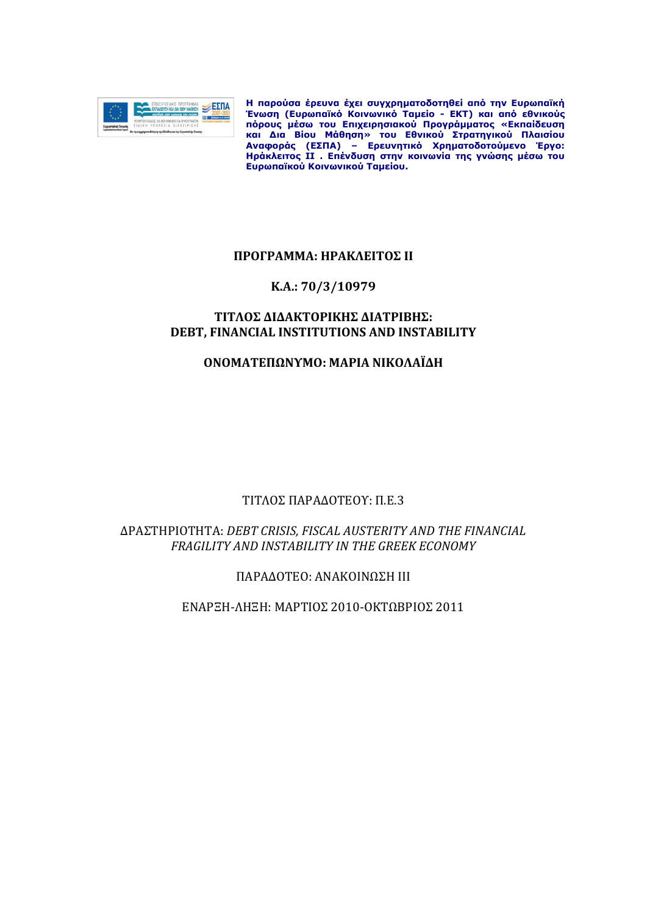

**H παρούσα έρευνα έχει συγχρηματοδοτηθεί από την Ευρωπαϊκή Ένωση (Ευρωπαϊκό Κοινωνικό Ταμείο - ΕΚΤ) και από εθνικούς πόρους μέσω του Επιχειρησιακού Προγράμματος «Εκπαίδευση και Δια Βίου Μάθηση» του Εθνικού Στρατηγικού Πλαισίου Αναφοράς (ΕΣΠΑ) – Ερευνητικό Χρηματοδοτούμενο Έργο: Ηράκλειτος ΙΙ . Επένδυση στην κοινωνία της γνώσης μέσω του Ευρωπαϊκού Κοινωνικού Ταμείου.** 

# **ΠΡΟΓΡΑΜΜΑ: ΗΡΑΚΛΕΙΤΟΣ ΙΙ**

### **Κ.Α.: 70/3/10979**

# **ΤΙΤΛΟΣ ΔΙΔΑΚΤΟΡΙΚΗΣ ΔΙΑΤΡΙΒΗΣ: DEBT, FINANCIAL INSTITUTIONS AND INSTABILITY**

# **ΟΝΟΜΑΤΕΠΩΝΥΜΟ: ΜΑΡΙΑ ΝΙΚΟΛΑΪΔΗ**

# ΤΙΤΛΟΣ ΠΑΡΑΔΟΤΕΟΥ: Π.Ε.3

# ΔΡΑΣΤΗΡΙΟΤΗΤΑ: *DEBT CRISIS, FISCAL AUSTERITY AND THE FINANCIAL FRAGILITY AND INSTABILITY IN THE GREEK ECONOMY*

ΠΑΡΑΔΟΤΕΟ: ΑΝΑΚΟΙΝΩΣΗ ΙII

ΕΝΑΡΞΗ-ΛΗΞΗ: ΜΑΡΤΙΟΣ 2010-ΟΚΤΩΒΡΙΟΣ 2011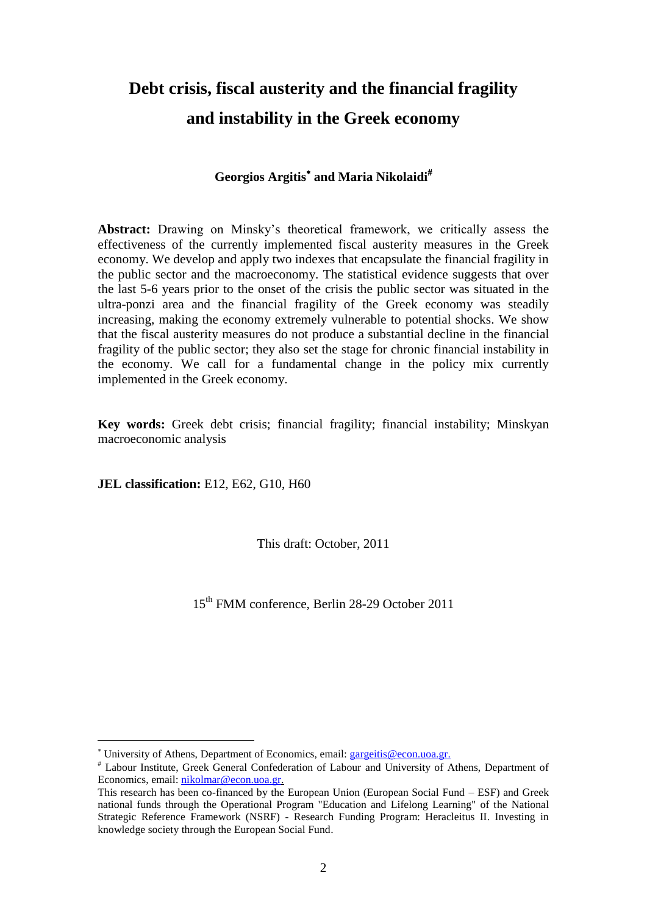# **Debt crisis, fiscal austerity and the financial fragility and instability in the Greek economy**

# **Georgios Argitis and Maria Nikolaidi**

**Abstract:** Drawing on Minsky's theoretical framework, we critically assess the effectiveness of the currently implemented fiscal austerity measures in the Greek economy. We develop and apply two indexes that encapsulate the financial fragility in the public sector and the macroeconomy. The statistical evidence suggests that over the last 5-6 years prior to the onset of the crisis the public sector was situated in the ultra-ponzi area and the financial fragility of the Greek economy was steadily increasing, making the economy extremely vulnerable to potential shocks. We show that the fiscal austerity measures do not produce a substantial decline in the financial fragility of the public sector; they also set the stage for chronic financial instability in the economy. We call for a fundamental change in the policy mix currently implemented in the Greek economy.

**Key words:** Greek debt crisis; financial fragility; financial instability; Minskyan macroeconomic analysis

**JEL classification:** E12, E62, G10, H60

1

This draft: October, 2011

15th FMM conference, Berlin 28-29 October 2011

University of Athens, Department of Economics, email: [gargeitis@econ.uoa.gr.](mailto:gargeitis@econ.uoa.gr)

Labour Institute, Greek General Confederation of Labour and University of Athens, Department of Economics, email: [nikolmar@econ.uoa.gr.](mailto:nikolmar@econ.uoa.gr)

This research has been co-financed by the European Union (European Social Fund – ESF) and Greek national funds through the Operational Program "Education and Lifelong Learning" of the National Strategic Reference Framework (NSRF) - Research Funding Program: Heracleitus II. Investing in knowledge society through the European Social Fund.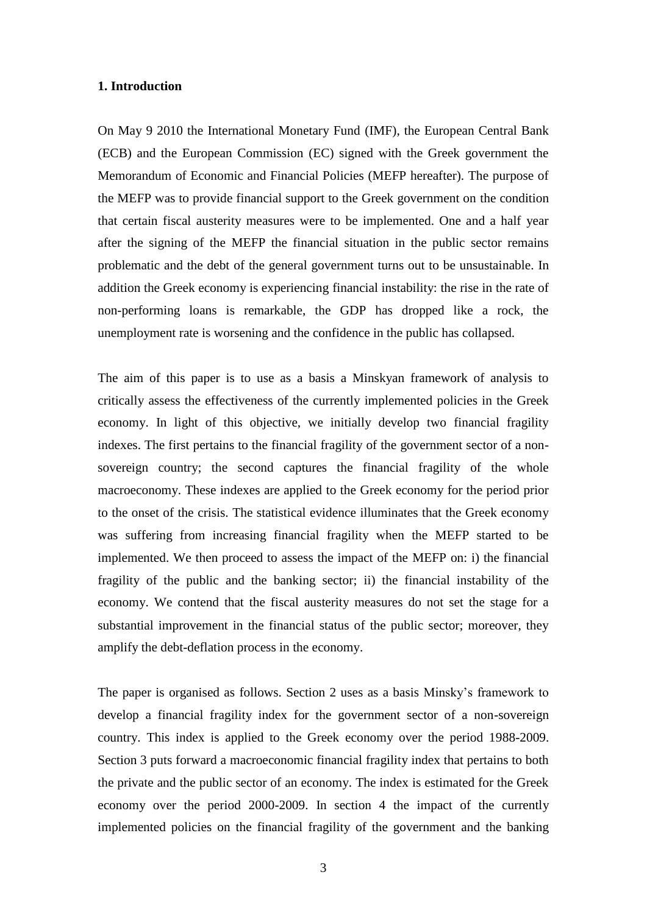#### **1. Introduction**

On May 9 2010 the International Monetary Fund (IMF), the European Central Bank (ECB) and the European Commission (EC) signed with the Greek government the Memorandum of Economic and Financial Policies (MEFP hereafter). The purpose of the MEFP was to provide financial support to the Greek government on the condition that certain fiscal austerity measures were to be implemented. One and a half year after the signing of the MEFP the financial situation in the public sector remains problematic and the debt of the general government turns out to be unsustainable. In addition the Greek economy is experiencing financial instability: the rise in the rate of non-performing loans is remarkable, the GDP has dropped like a rock, the unemployment rate is worsening and the confidence in the public has collapsed.

The aim of this paper is to use as a basis a Minskyan framework of analysis to critically assess the effectiveness of the currently implemented policies in the Greek economy. In light of this objective, we initially develop two financial fragility indexes. The first pertains to the financial fragility of the government sector of a nonsovereign country; the second captures the financial fragility of the whole macroeconomy. These indexes are applied to the Greek economy for the period prior to the onset of the crisis. The statistical evidence illuminates that the Greek economy was suffering from increasing financial fragility when the MEFP started to be implemented. We then proceed to assess the impact of the MEFP on: i) the financial fragility of the public and the banking sector; ii) the financial instability of the economy. We contend that the fiscal austerity measures do not set the stage for a substantial improvement in the financial status of the public sector; moreover, they amplify the debt-deflation process in the economy.

The paper is organised as follows. Section 2 uses as a basis Minsky's framework to develop a financial fragility index for the government sector of a non-sovereign country. This index is applied to the Greek economy over the period 1988-2009. Section 3 puts forward a macroeconomic financial fragility index that pertains to both the private and the public sector of an economy. The index is estimated for the Greek economy over the period 2000-2009. In section 4 the impact of the currently implemented policies on the financial fragility of the government and the banking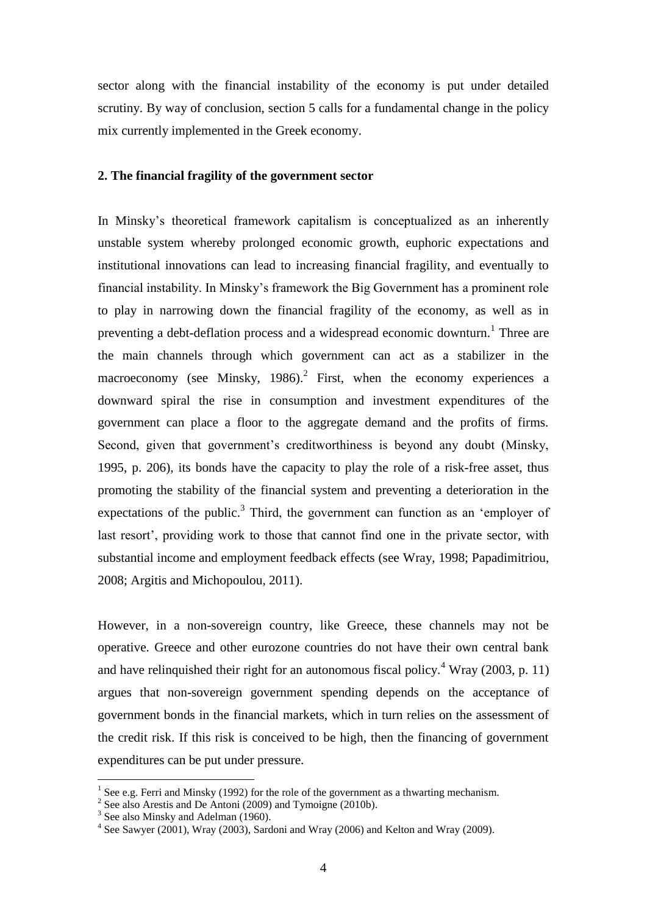sector along with the financial instability of the economy is put under detailed scrutiny. By way of conclusion, section 5 calls for a fundamental change in the policy mix currently implemented in the Greek economy.

#### **2. The financial fragility of the government sector**

In Minsky's theoretical framework capitalism is conceptualized as an inherently unstable system whereby prolonged economic growth, euphoric expectations and institutional innovations can lead to increasing financial fragility, and eventually to financial instability. In Minsky's framework the Big Government has a prominent role to play in narrowing down the financial fragility of the economy, as well as in preventing a debt-deflation process and a widespread economic downturn.<sup>1</sup> Three are the main channels through which government can act as a stabilizer in the macroeconomy (see Minsky, 1986).<sup>2</sup> First, when the economy experiences a downward spiral the rise in consumption and investment expenditures of the government can place a floor to the aggregate demand and the profits of firms. Second, given that government's creditworthiness is beyond any doubt (Minsky, 1995, p. 206), its bonds have the capacity to play the role of a risk-free asset, thus promoting the stability of the financial system and preventing a deterioration in the expectations of the public.<sup>3</sup> Third, the government can function as an 'employer of last resort', providing work to those that cannot find one in the private sector, with substantial income and employment feedback effects (see Wray, 1998; Papadimitriou, 2008; Argitis and Michopoulou, 2011).

However, in a non-sovereign country, like Greece, these channels may not be operative. Greece and other eurozone countries do not have their own central bank and have relinquished their right for an autonomous fiscal policy.<sup>4</sup> Wray (2003, p. 11) argues that non-sovereign government spending depends on the acceptance of government bonds in the financial markets, which in turn relies on the assessment of the credit risk. If this risk is conceived to be high, then the financing of government expenditures can be put under pressure.

<sup>&</sup>lt;sup>1</sup> See e.g. Ferri and Minsky (1992) for the role of the government as a thwarting mechanism.

<sup>&</sup>lt;sup>2</sup> See also Arestis and De Antoni (2009) and Tymoigne (2010b).

<sup>&</sup>lt;sup>3</sup> See also Minsky and Adelman (1960).

 $4$  See Sawyer (2001), Wray (2003), Sardoni and Wray (2006) and Kelton and Wray (2009).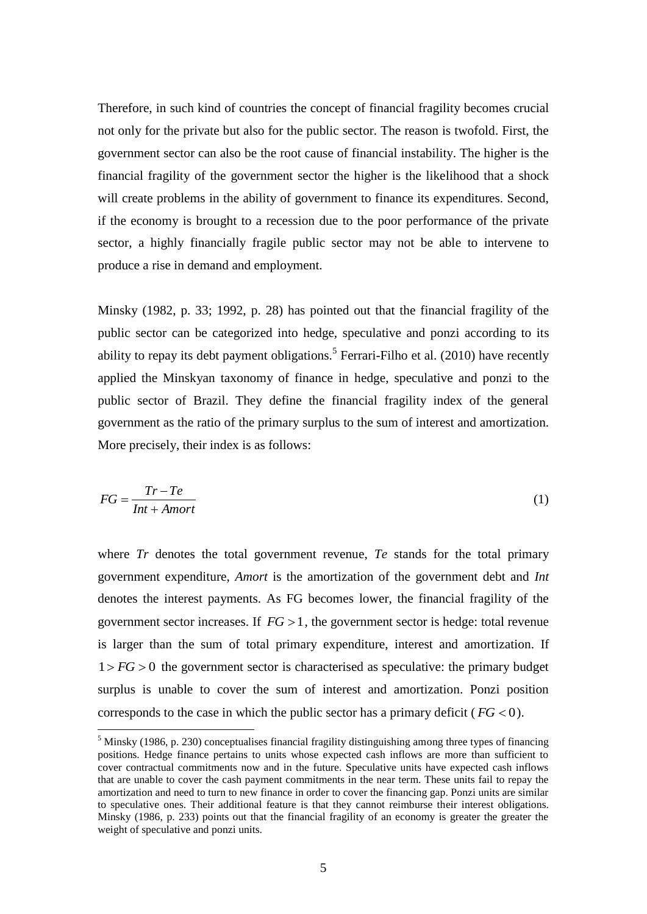Therefore, in such kind of countries the concept of financial fragility becomes crucial not only for the private but also for the public sector. The reason is twofold. First, the government sector can also be the root cause of financial instability. The higher is the financial fragility of the government sector the higher is the likelihood that a shock will create problems in the ability of government to finance its expenditures. Second, if the economy is brought to a recession due to the poor performance of the private sector, a highly financially fragile public sector may not be able to intervene to produce a rise in demand and employment.

Minsky (1982, p. 33; 1992, p. 28) has pointed out that the financial fragility of the public sector can be categorized into hedge, speculative and ponzi according to its ability to repay its debt payment obligations.<sup>5</sup> Ferrari-Filho et al.  $(2010)$  have recently applied the Minskyan taxonomy of finance in hedge, speculative and ponzi to the public sector of Brazil. They define the financial fragility index of the general government as the ratio of the primary surplus to the sum of interest and amortization. More precisely, their index is as follows:

$$
FG = \frac{Tr - Te}{Int + Amort}
$$
 (1)

where *Tr* denotes the total government revenue, *Te* stands for the total primary government expenditure, *Amort* is the amortization of the government debt and *Int* denotes the interest payments. As FG becomes lower, the financial fragility of the government sector increases. If  $FG > 1$ , the government sector is hedge: total revenue is larger than the sum of total primary expenditure, interest and amortization. If  $1 > FG > 0$  the government sector is characterised as speculative: the primary budget surplus is unable to cover the sum of interest and amortization. Ponzi position corresponds to the case in which the public sector has a primary deficit ( $FG < 0$ ).

1

 $<sup>5</sup>$  Minsky (1986, p. 230) conceptualises financial fragility distinguishing among three types of financing</sup> positions. Hedge finance pertains to units whose expected cash inflows are more than sufficient to cover contractual commitments now and in the future. Speculative units have expected cash inflows that are unable to cover the cash payment commitments in the near term. These units fail to repay the amortization and need to turn to new finance in order to cover the financing gap. Ponzi units are similar to speculative ones. Their additional feature is that they cannot reimburse their interest obligations. Minsky (1986, p. 233) points out that the financial fragility of an economy is greater the greater the weight of speculative and ponzi units.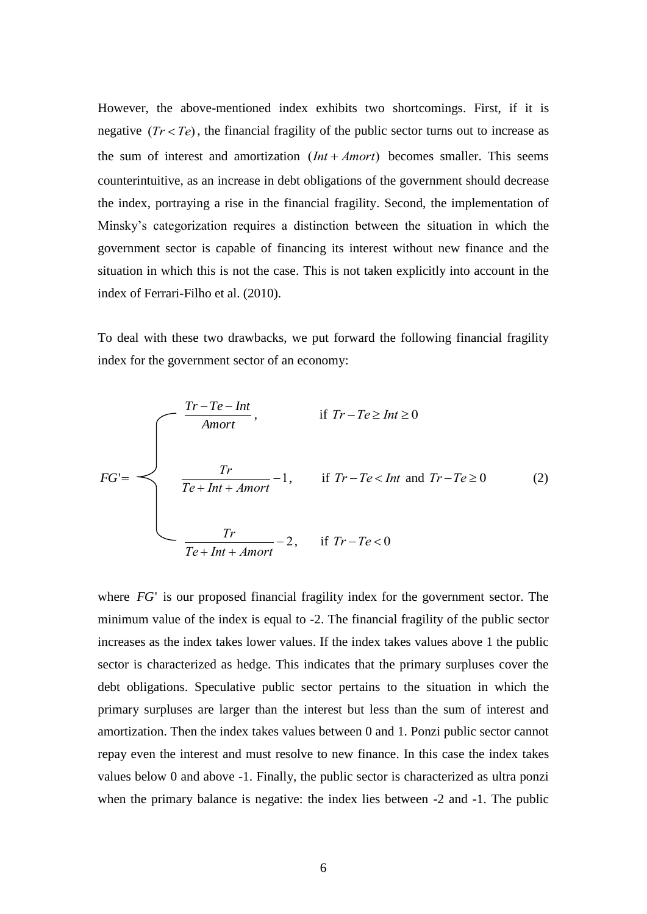However, the above-mentioned index exhibits two shortcomings. First, if it is negative  $(Tr < Te)$ , the financial fragility of the public sector turns out to increase as the sum of interest and amortization  $(Int + Amort)$  becomes smaller. This seems counterintuitive, as an increase in debt obligations of the government should decrease the index, portraying a rise in the financial fragility. Second, the implementation of Minsky's categorization requires a distinction between the situation in which the government sector is capable of financing its interest without new finance and the situation in which this is not the case. This is not taken explicitly into account in the index of Ferrari-Filho et al. (2010).

To deal with these two drawbacks, we put forward the following financial fragility index for the government sector of an economy:

$$
FG' = \begin{cases} \frac{Tr - Te - Int}{Amort}, & \text{if } Tr - Te \ge Int \ge 0 \\ \frac{Tr}{Te + Int + Amort} - 1, & \text{if } Tr - Te < Int \text{ and } Tr - Te \ge 0 \\ \frac{Tr}{Te + Int + Amort} - 2, & \text{if } Tr - Te < 0 \end{cases} \tag{2}
$$

where *FG*' is our proposed financial fragility index for the government sector. The minimum value of the index is equal to -2. The financial fragility of the public sector increases as the index takes lower values. If the index takes values above 1 the public sector is characterized as hedge. This indicates that the primary surpluses cover the debt obligations. Speculative public sector pertains to the situation in which the primary surpluses are larger than the interest but less than the sum of interest and amortization. Then the index takes values between 0 and 1. Ponzi public sector cannot repay even the interest and must resolve to new finance. In this case the index takes values below 0 and above -1. Finally, the public sector is characterized as ultra ponzi when the primary balance is negative: the index lies between  $-2$  and  $-1$ . The public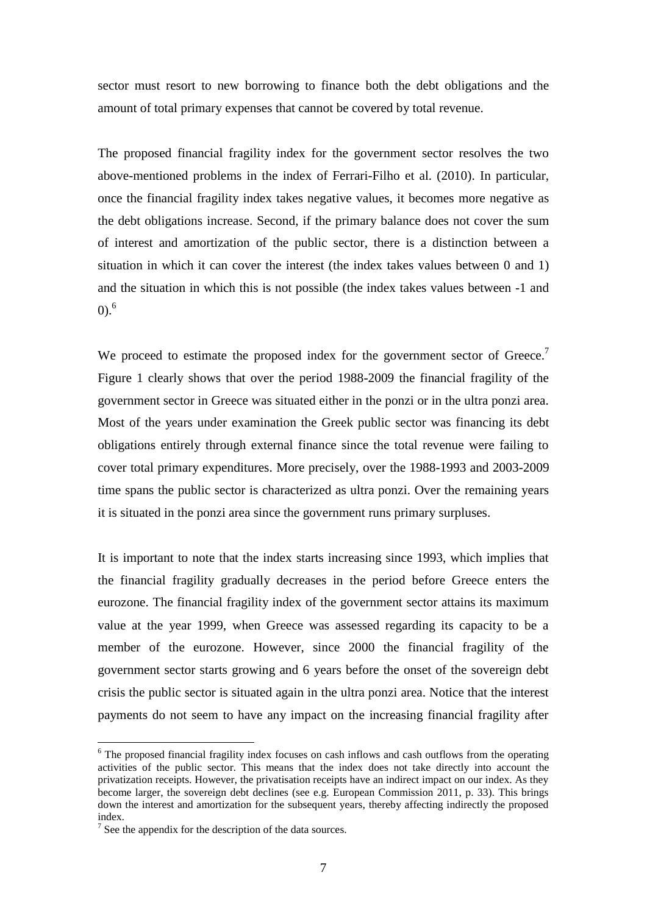sector must resort to new borrowing to finance both the debt obligations and the amount of total primary expenses that cannot be covered by total revenue.

The proposed financial fragility index for the government sector resolves the two above-mentioned problems in the index of Ferrari-Filho et al. (2010). In particular, once the financial fragility index takes negative values, it becomes more negative as the debt obligations increase. Second, if the primary balance does not cover the sum of interest and amortization of the public sector, there is a distinction between a situation in which it can cover the interest (the index takes values between 0 and 1) and the situation in which this is not possible (the index takes values between -1 and  $(0)^{6}$ 

We proceed to estimate the proposed index for the government sector of Greece.<sup>7</sup> Figure 1 clearly shows that over the period 1988-2009 the financial fragility of the government sector in Greece was situated either in the ponzi or in the ultra ponzi area. Most of the years under examination the Greek public sector was financing its debt obligations entirely through external finance since the total revenue were failing to cover total primary expenditures. More precisely, over the 1988-1993 and 2003-2009 time spans the public sector is characterized as ultra ponzi. Over the remaining years it is situated in the ponzi area since the government runs primary surpluses.

It is important to note that the index starts increasing since 1993, which implies that the financial fragility gradually decreases in the period before Greece enters the eurozone. The financial fragility index of the government sector attains its maximum value at the year 1999, when Greece was assessed regarding its capacity to be a member of the eurozone. However, since 2000 the financial fragility of the government sector starts growing and 6 years before the onset of the sovereign debt crisis the public sector is situated again in the ultra ponzi area. Notice that the interest payments do not seem to have any impact on the increasing financial fragility after

1

<sup>&</sup>lt;sup>6</sup> The proposed financial fragility index focuses on cash inflows and cash outflows from the operating activities of the public sector. This means that the index does not take directly into account the privatization receipts. However, the privatisation receipts have an indirect impact on our index. As they become larger, the sovereign debt declines (see e.g. European Commission 2011, p. 33). This brings down the interest and amortization for the subsequent years, thereby affecting indirectly the proposed index.

 $<sup>7</sup>$  See the appendix for the description of the data sources.</sup>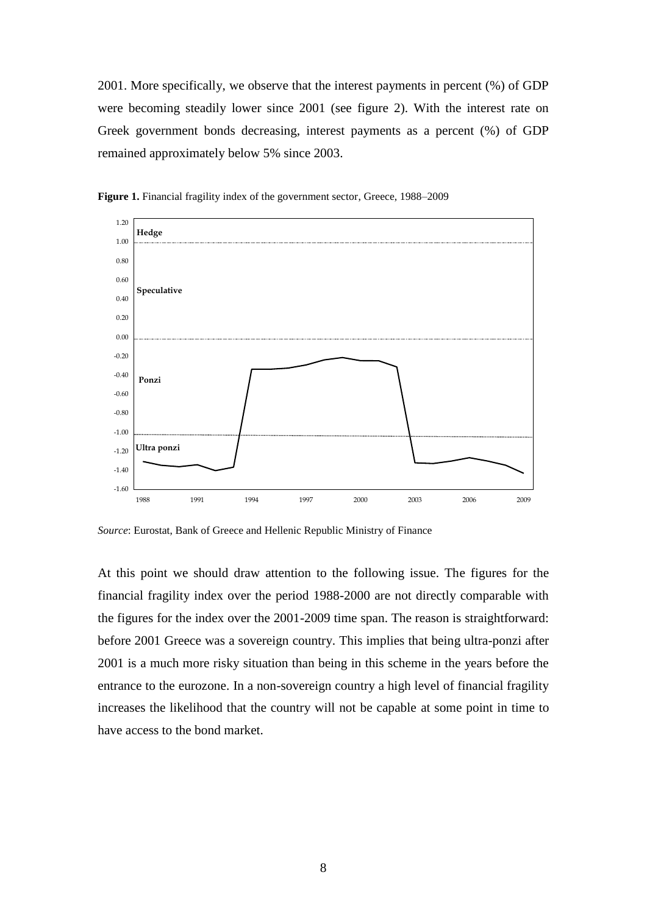2001. More specifically, we observe that the interest payments in percent (%) of GDP were becoming steadily lower since 2001 (see figure 2). With the interest rate on Greek government bonds decreasing, interest payments as a percent (%) of GDP remained approximately below 5% since 2003.



**Figure 1.** Financial fragility index of the government sector, Greece, 1988–2009

*Source*: Eurostat, Bank of Greece and Hellenic Republic Ministry of Finance

At this point we should draw attention to the following issue. The figures for the financial fragility index over the period 1988-2000 are not directly comparable with the figures for the index over the 2001-2009 time span. The reason is straightforward: before 2001 Greece was a sovereign country. This implies that being ultra-ponzi after 2001 is a much more risky situation than being in this scheme in the years before the entrance to the eurozone. In a non-sovereign country a high level of financial fragility increases the likelihood that the country will not be capable at some point in time to have access to the bond market.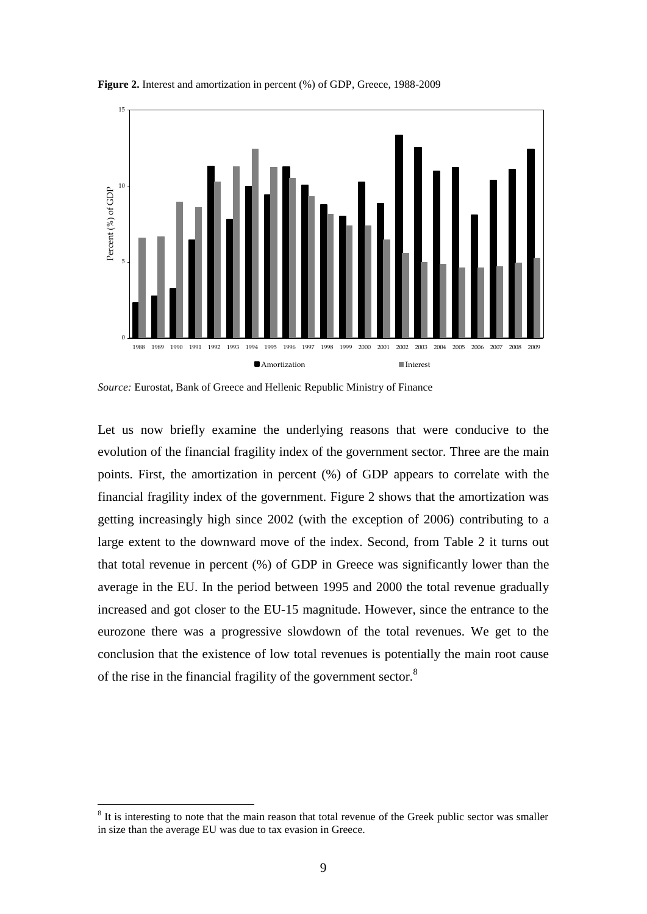

**Figure 2.** Interest and amortization in percent (%) of GDP, Greece, 1988-2009

Let us now briefly examine the underlying reasons that were conducive to the evolution of the financial fragility index of the government sector. Three are the main points. First, the amortization in percent (%) of GDP appears to correlate with the financial fragility index of the government. Figure 2 shows that the amortization was getting increasingly high since 2002 (with the exception of 2006) contributing to a large extent to the downward move of the index. Second, from Table 2 it turns out that total revenue in percent (%) of GDP in Greece was significantly lower than the average in the EU. In the period between 1995 and 2000 the total revenue gradually increased and got closer to the EU-15 magnitude. However, since the entrance to the eurozone there was a progressive slowdown of the total revenues. We get to the conclusion that the existence of low total revenues is potentially the main root cause of the rise in the financial fragility of the government sector.<sup>8</sup>

<u>.</u>

*Source:* Eurostat, Bank of Greece and Hellenic Republic Ministry of Finance

<sup>&</sup>lt;sup>8</sup> It is interesting to note that the main reason that total revenue of the Greek public sector was smaller in size than the average EU was due to tax evasion in Greece.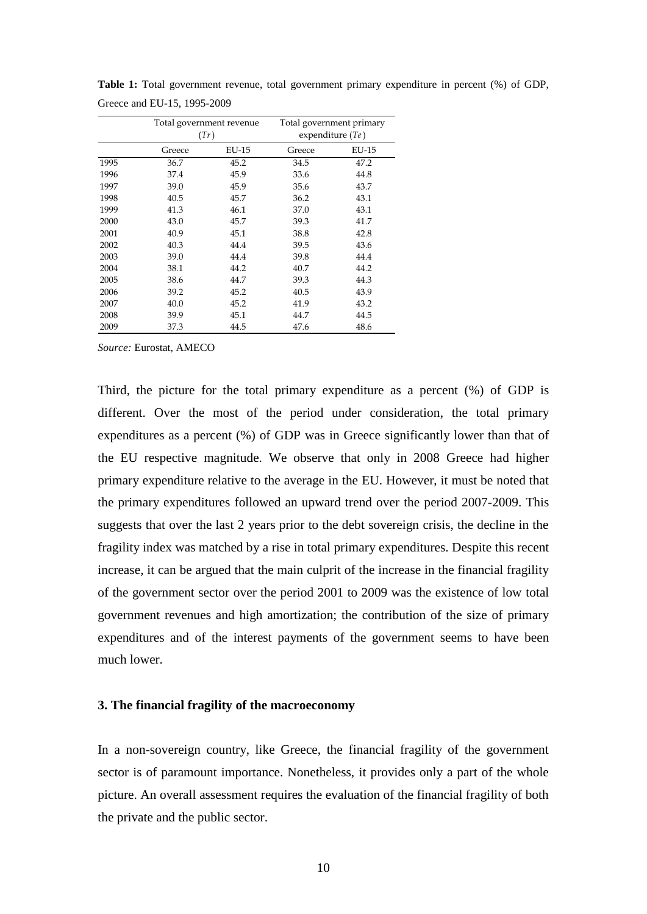|      | Total government revenue<br>(Tr) |       | Total government primary<br>expenditure $Te$ ) |       |  |
|------|----------------------------------|-------|------------------------------------------------|-------|--|
|      | Greece                           | EU-15 | Greece                                         | EU-15 |  |
| 1995 | 36.7                             | 45.2  | 34.5                                           | 47.2  |  |
| 1996 | 37.4                             | 45.9  | 33.6                                           | 44.8  |  |
| 1997 | 39.0                             | 45.9  | 35.6                                           | 43.7  |  |
| 1998 | 40.5                             | 45.7  | 36.2                                           | 43.1  |  |
| 1999 | 41.3                             | 46.1  | 37.0                                           | 43.1  |  |
| 2000 | 43.0                             | 45.7  | 39.3                                           | 41.7  |  |
| 2001 | 40.9                             | 45.1  | 38.8                                           | 42.8  |  |
| 2002 | 40.3                             | 44.4  | 39.5                                           | 43.6  |  |
| 2003 | 39.0                             | 44.4  | 39.8                                           | 44.4  |  |
| 2004 | 38.1                             | 44.2  | 40.7                                           | 44.2  |  |
| 2005 | 38.6                             | 44.7  | 39.3                                           | 44.3  |  |
| 2006 | 39.2                             | 45.2  | 40.5                                           | 43.9  |  |
| 2007 | 40.0                             | 45.2  | 41.9                                           | 43.2  |  |
| 2008 | 39.9                             | 45.1  | 44.7                                           | 44.5  |  |
| 2009 | 37.3                             | 44.5  | 47.6                                           | 48.6  |  |

**Table 1:** Total government revenue, total government primary expenditure in percent (%) of GDP, Greece and EU-15, 1995-2009

*Source:* Eurostat, AMECO

Third, the picture for the total primary expenditure as a percent (%) of GDP is different. Over the most of the period under consideration, the total primary expenditures as a percent (%) of GDP was in Greece significantly lower than that of the EU respective magnitude. We observe that only in 2008 Greece had higher primary expenditure relative to the average in the EU. However, it must be noted that the primary expenditures followed an upward trend over the period 2007-2009. This suggests that over the last 2 years prior to the debt sovereign crisis, the decline in the fragility index was matched by a rise in total primary expenditures. Despite this recent increase, it can be argued that the main culprit of the increase in the financial fragility of the government sector over the period 2001 to 2009 was the existence of low total government revenues and high amortization; the contribution of the size of primary expenditures and of the interest payments of the government seems to have been much lower.

#### **3. The financial fragility of the macroeconomy**

In a non-sovereign country, like Greece, the financial fragility of the government sector is of paramount importance. Nonetheless, it provides only a part of the whole picture. An overall assessment requires the evaluation of the financial fragility of both the private and the public sector.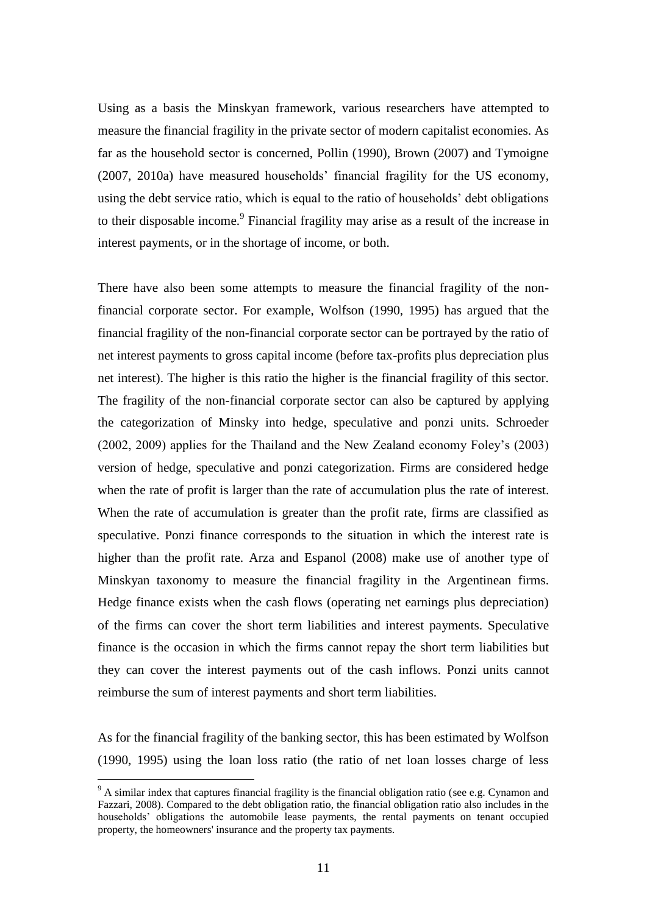Using as a basis the Minskyan framework, various researchers have attempted to measure the financial fragility in the private sector of modern capitalist economies. As far as the household sector is concerned, Pollin (1990), Brown (2007) and Tymoigne (2007, 2010a) have measured households' financial fragility for the US economy, using the debt service ratio, which is equal to the ratio of households' debt obligations to their disposable income.<sup>9</sup> Financial fragility may arise as a result of the increase in interest payments, or in the shortage of income, or both.

There have also been some attempts to measure the financial fragility of the nonfinancial corporate sector. For example, Wolfson (1990, 1995) has argued that the financial fragility of the non-financial corporate sector can be portrayed by the ratio of net interest payments to gross capital income (before tax-profits plus depreciation plus net interest). The higher is this ratio the higher is the financial fragility of this sector. The fragility of the non-financial corporate sector can also be captured by applying the categorization of Minsky into hedge, speculative and ponzi units. Schroeder (2002, 2009) applies for the Thailand and the New Zealand economy Foley's (2003) version of hedge, speculative and ponzi categorization. Firms are considered hedge when the rate of profit is larger than the rate of accumulation plus the rate of interest. When the rate of accumulation is greater than the profit rate, firms are classified as speculative. Ponzi finance corresponds to the situation in which the interest rate is higher than the profit rate. Arza and Espanol (2008) make use of another type of Minskyan taxonomy to measure the financial fragility in the Argentinean firms. Hedge finance exists when the cash flows (operating net earnings plus depreciation) of the firms can cover the short term liabilities and interest payments. Speculative finance is the occasion in which the firms cannot repay the short term liabilities but they can cover the interest payments out of the cash inflows. Ponzi units cannot reimburse the sum of interest payments and short term liabilities.

As for the financial fragility of the banking sector, this has been estimated by Wolfson (1990, 1995) using the loan loss ratio (the ratio of net loan losses charge of less

1

 $9$  A similar index that captures financial fragility is the financial obligation ratio (see e.g. Cynamon and Fazzari, 2008). Compared to the debt obligation ratio, the financial obligation ratio also includes in the households' obligations the automobile lease payments, the rental payments on tenant occupied property, the homeowners' insurance and the property tax payments.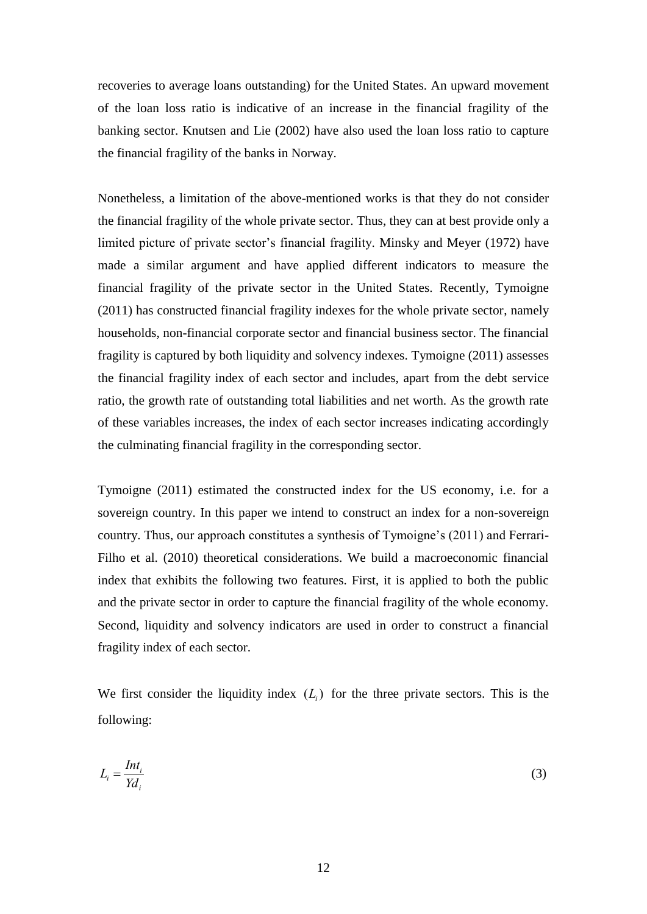recoveries to average loans outstanding) for the United States. An upward movement of the loan loss ratio is indicative of an increase in the financial fragility of the banking sector. Knutsen and Lie (2002) have also used the loan loss ratio to capture the financial fragility of the banks in Norway.

Nonetheless, a limitation of the above-mentioned works is that they do not consider the financial fragility of the whole private sector. Thus, they can at best provide only a limited picture of private sector's financial fragility. Minsky and Meyer (1972) have made a similar argument and have applied different indicators to measure the financial fragility of the private sector in the United States. Recently, Tymoigne (2011) has constructed financial fragility indexes for the whole private sector, namely households, non-financial corporate sector and financial business sector. The financial fragility is captured by both liquidity and solvency indexes. Tymoigne (2011) assesses the financial fragility index of each sector and includes, apart from the debt service ratio, the growth rate of outstanding total liabilities and net worth. As the growth rate of these variables increases, the index of each sector increases indicating accordingly the culminating financial fragility in the corresponding sector.

Tymoigne (2011) estimated the constructed index for the US economy, i.e. for a sovereign country. In this paper we intend to construct an index for a non-sovereign country. Thus, our approach constitutes a synthesis of Tymoigne's (2011) and Ferrari-Filho et al. (2010) theoretical considerations. We build a macroeconomic financial index that exhibits the following two features. First, it is applied to both the public and the private sector in order to capture the financial fragility of the whole economy. Second, liquidity and solvency indicators are used in order to construct a financial fragility index of each sector.

We first consider the liquidity index  $(L<sub>i</sub>)$  for the three private sectors. This is the following:

$$
L_i = \frac{Int_i}{Yd_i} \tag{3}
$$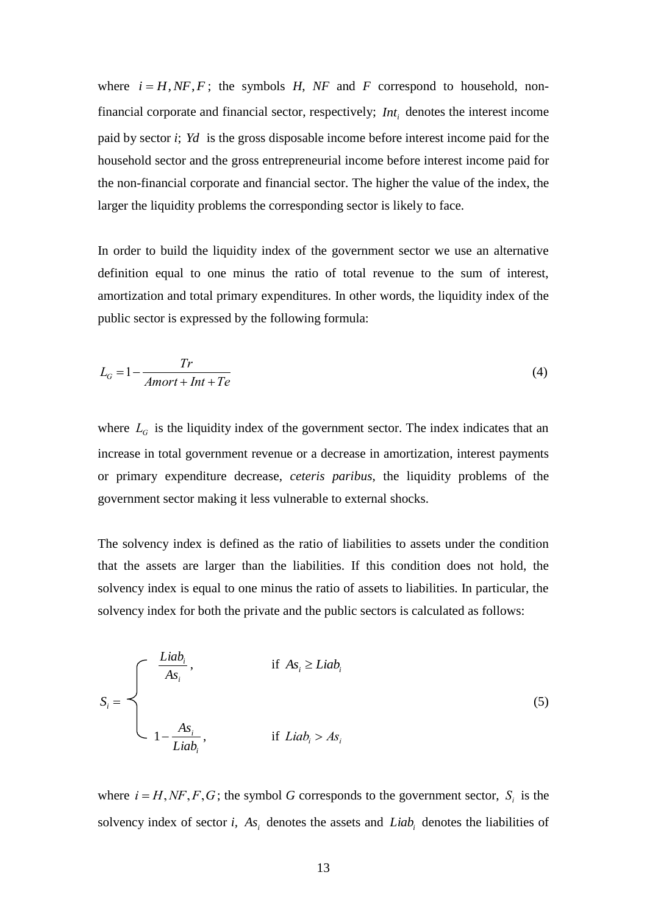where  $i = H, NF, F$ ; the symbols  $H, NF$  and  $F$  correspond to household, nonfinancial corporate and financial sector, respectively;  $Int_i$  denotes the interest income paid by sector *i*; *Yd* is the gross disposable income before interest income paid for the household sector and the gross entrepreneurial income before interest income paid for the non-financial corporate and financial sector. The higher the value of the index, the larger the liquidity problems the corresponding sector is likely to face.

In order to build the liquidity index of the government sector we use an alternative definition equal to one minus the ratio of total revenue to the sum of interest, amortization and total primary expenditures. In other words, the liquidity index of the public sector is expressed by the following formula:

$$
L_G = 1 - \frac{Tr}{Amort + Int + Te}
$$
\n<sup>(4)</sup>

where  $L_G$  is the liquidity index of the government sector. The index indicates that an increase in total government revenue or a decrease in amortization, interest payments or primary expenditure decrease, *ceteris paribus*, the liquidity problems of the government sector making it less vulnerable to external shocks.

The solvency index is defined as the ratio of liabilities to assets under the condition that the assets are larger than the liabilities. If this condition does not hold, the solvency index is equal to one minus the ratio of assets to liabilities. In particular, the solvency index for both the private and the public sectors is calculated as follows:

$$
S_{i} = \begin{cases} \frac{Liab_{i}}{As_{i}}, & \text{if } As_{i} \ge Liab_{i} \\ & \\ 1 - \frac{As_{i}}{Liab_{i}}, & \text{if } Liab_{i} > As_{i} \end{cases}
$$
 (5)

where  $i = H, NF, F, G$ ; the symbol *G* corresponds to the government sector,  $S_i$  is the solvency index of sector *i*,  $As_i$  denotes the assets and  $Liab_i$  denotes the liabilities of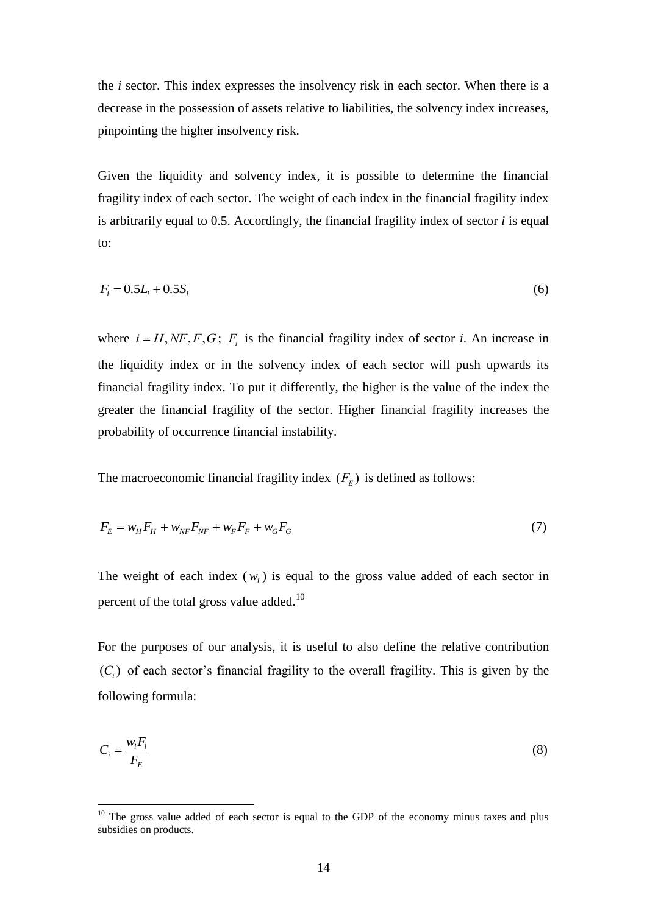the *i* sector. This index expresses the insolvency risk in each sector. When there is a decrease in the possession of assets relative to liabilities, the solvency index increases, pinpointing the higher insolvency risk.

Given the liquidity and solvency index, it is possible to determine the financial fragility index of each sector. The weight of each index in the financial fragility index is arbitrarily equal to 0.5. Accordingly, the financial fragility index of sector *i* is equal to:

$$
F_i = 0.5L_i + 0.5S_i \tag{6}
$$

where  $i = H, NF, F, G$ ;  $F_i$  is the financial fragility index of sector *i*. An increase in the liquidity index or in the solvency index of each sector will push upwards its financial fragility index. To put it differently, the higher is the value of the index the greater the financial fragility of the sector. Higher financial fragility increases the probability of occurrence financial instability.

The macroeconomic financial fragility index  $(F_E)$  is defined as follows:

$$
F_E = w_H F_H + w_{NF} F_{NF} + w_F F_F + w_G F_G \tag{7}
$$

The weight of each index  $(w_i)$  is equal to the gross value added of each sector in percent of the total gross value added.<sup>10</sup>

For the purposes of our analysis, it is useful to also define the relative contribution  $(C_i)$  of each sector's financial fragility to the overall fragility. This is given by the following formula:

$$
C_i = \frac{w_i F_i}{F_E} \tag{8}
$$

<u>.</u>

 $10$  The gross value added of each sector is equal to the GDP of the economy minus taxes and plus subsidies on products.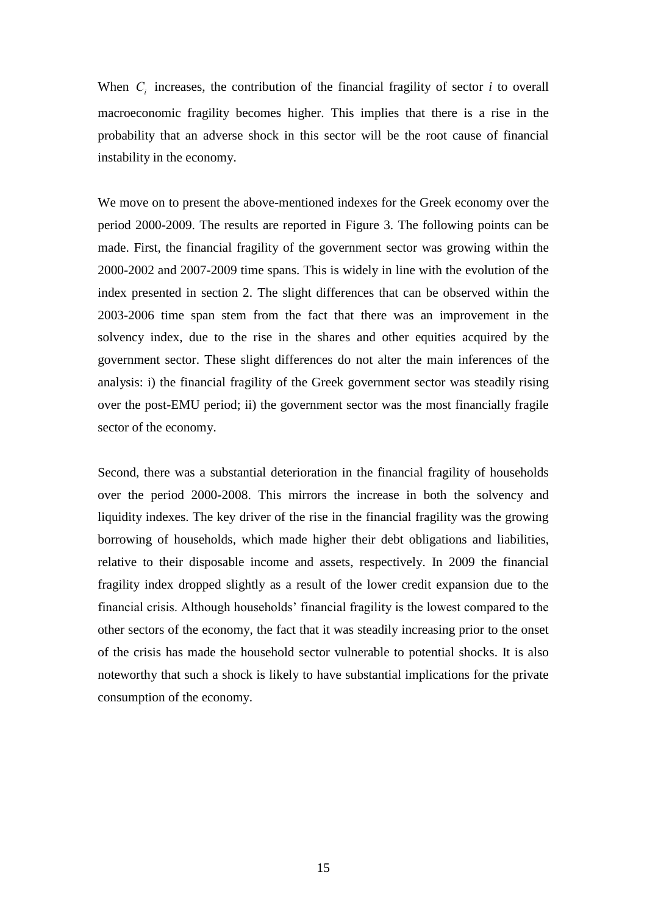When  $C_i$  increases, the contribution of the financial fragility of sector  $i$  to overall macroeconomic fragility becomes higher. This implies that there is a rise in the probability that an adverse shock in this sector will be the root cause of financial instability in the economy.

We move on to present the above-mentioned indexes for the Greek economy over the period 2000-2009. The results are reported in Figure 3. The following points can be made. First, the financial fragility of the government sector was growing within the 2000-2002 and 2007-2009 time spans. This is widely in line with the evolution of the index presented in section 2. The slight differences that can be observed within the 2003-2006 time span stem from the fact that there was an improvement in the solvency index, due to the rise in the shares and other equities acquired by the government sector. These slight differences do not alter the main inferences of the analysis: i) the financial fragility of the Greek government sector was steadily rising over the post-EMU period; ii) the government sector was the most financially fragile sector of the economy.

Second, there was a substantial deterioration in the financial fragility of households over the period 2000-2008. This mirrors the increase in both the solvency and liquidity indexes. The key driver of the rise in the financial fragility was the growing borrowing of households, which made higher their debt obligations and liabilities, relative to their disposable income and assets, respectively. In 2009 the financial fragility index dropped slightly as a result of the lower credit expansion due to the financial crisis. Although households' financial fragility is the lowest compared to the other sectors of the economy, the fact that it was steadily increasing prior to the onset of the crisis has made the household sector vulnerable to potential shocks. It is also noteworthy that such a shock is likely to have substantial implications for the private consumption of the economy.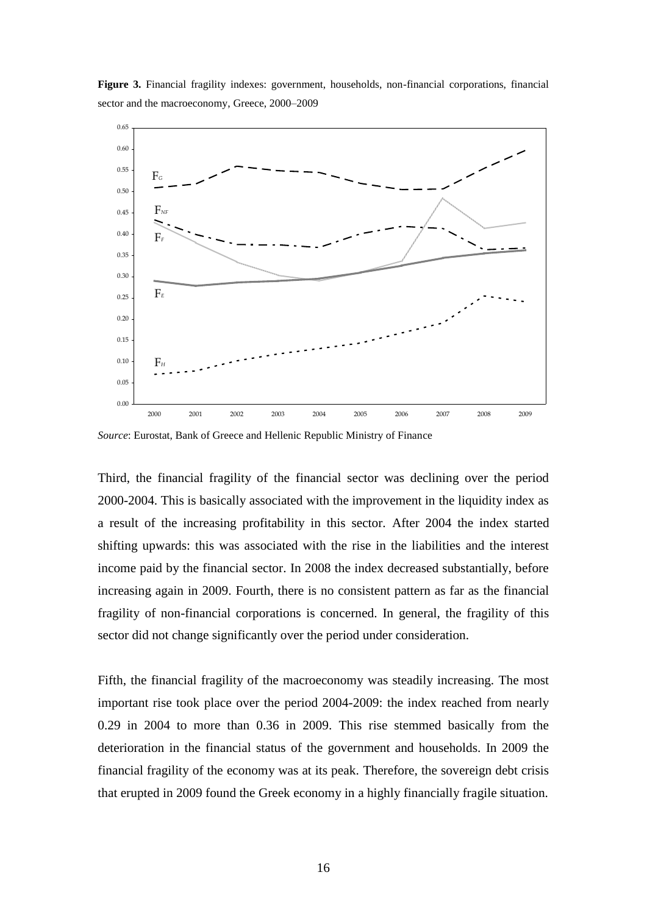



*Source*: Eurostat, Bank of Greece and Hellenic Republic Ministry of Finance

Third, the financial fragility of the financial sector was declining over the period 2000-2004. This is basically associated with the improvement in the liquidity index as a result of the increasing profitability in this sector. After 2004 the index started shifting upwards: this was associated with the rise in the liabilities and the interest income paid by the financial sector. In 2008 the index decreased substantially, before increasing again in 2009. Fourth, there is no consistent pattern as far as the financial fragility of non-financial corporations is concerned. In general, the fragility of this sector did not change significantly over the period under consideration.

Fifth, the financial fragility of the macroeconomy was steadily increasing. The most important rise took place over the period 2004-2009: the index reached from nearly 0.29 in 2004 to more than 0.36 in 2009. This rise stemmed basically from the deterioration in the financial status of the government and households. In 2009 the financial fragility of the economy was at its peak. Therefore, the sovereign debt crisis that erupted in 2009 found the Greek economy in a highly financially fragile situation.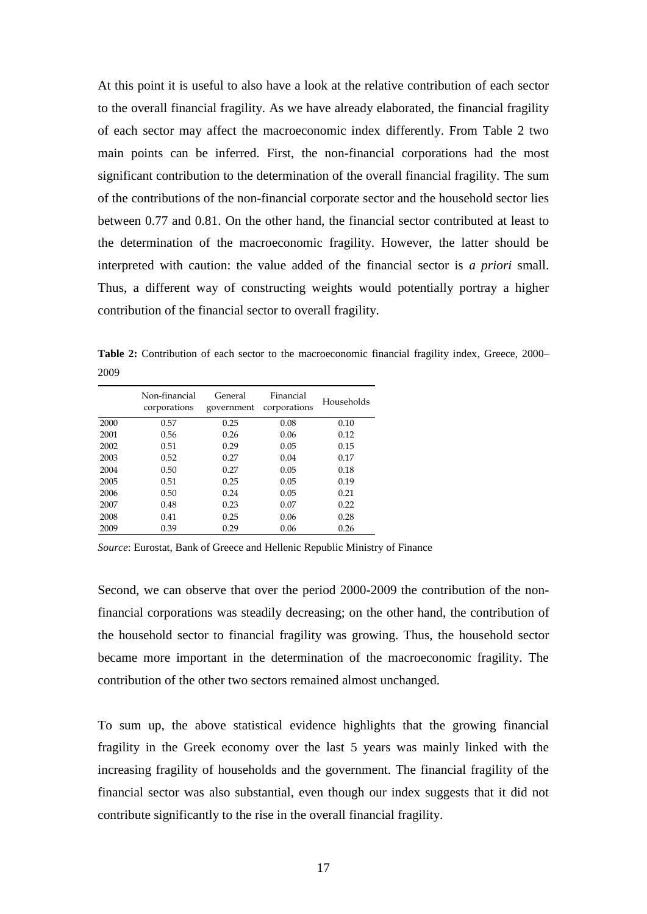At this point it is useful to also have a look at the relative contribution of each sector to the overall financial fragility. As we have already elaborated, the financial fragility of each sector may affect the macroeconomic index differently. From Table 2 two main points can be inferred. First, the non-financial corporations had the most significant contribution to the determination of the overall financial fragility. The sum of the contributions of the non-financial corporate sector and the household sector lies between 0.77 and 0.81. On the other hand, the financial sector contributed at least to the determination of the macroeconomic fragility. However, the latter should be interpreted with caution: the value added of the financial sector is *a priori* small. Thus, a different way of constructing weights would potentially portray a higher contribution of the financial sector to overall fragility.

Table 2: Contribution of each sector to the macroeconomic financial fragility index, Greece, 2000– 2009

|      | Non-financial<br>corporations | General<br>government | Financial<br>corporations | Households |
|------|-------------------------------|-----------------------|---------------------------|------------|
| 2000 | 0.57                          | 0.25                  | 0.08                      | 0.10       |
| 2001 | 0.56                          | 0.26                  | 0.06                      | 0.12       |
| 2002 | 0.51                          | 0.29                  | 0.05                      | 0.15       |
| 2003 | 0.52                          | 0.27                  | 0.04                      | 0.17       |
| 2004 | 0.50                          | 0.27                  | 0.05                      | 0.18       |
| 2005 | 0.51                          | 0.25                  | 0.05                      | 0.19       |
| 2006 | 0.50                          | 0.24                  | 0.05                      | 0.21       |
| 2007 | 0.48                          | 0.23                  | 0.07                      | 0.22       |
| 2008 | 0.41                          | 0.25                  | 0.06                      | 0.28       |
| 2009 | 0.39                          | 0.29                  | 0.06                      | 0.26       |

*Source*: Eurostat, Bank of Greece and Hellenic Republic Ministry of Finance

Second, we can observe that over the period 2000-2009 the contribution of the nonfinancial corporations was steadily decreasing; on the other hand, the contribution of the household sector to financial fragility was growing. Thus, the household sector became more important in the determination of the macroeconomic fragility. The contribution of the other two sectors remained almost unchanged.

To sum up, the above statistical evidence highlights that the growing financial fragility in the Greek economy over the last 5 years was mainly linked with the increasing fragility of households and the government. The financial fragility of the financial sector was also substantial, even though our index suggests that it did not contribute significantly to the rise in the overall financial fragility.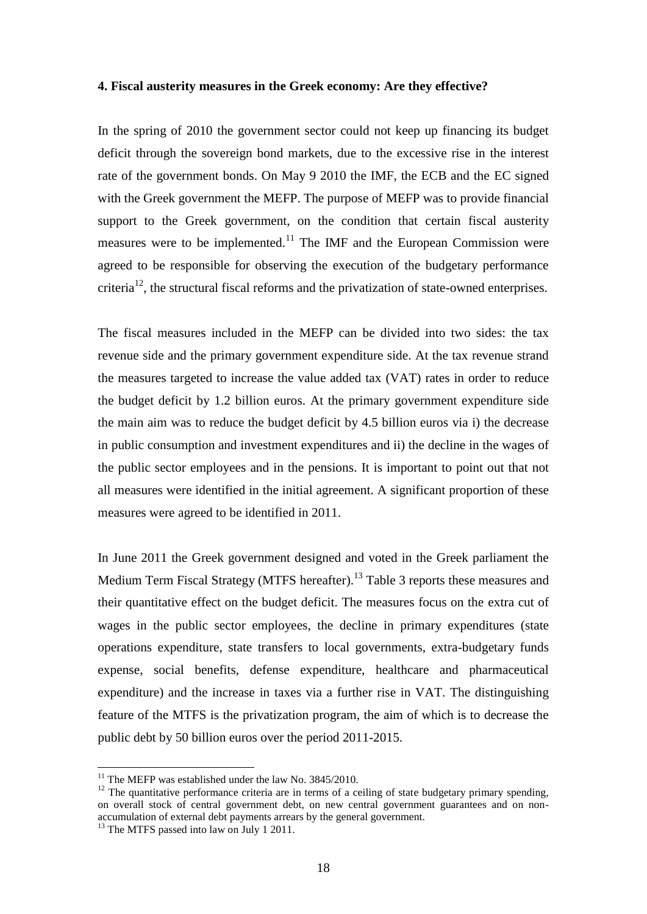#### **4. Fiscal austerity measures in the Greek economy: Are they effective?**

In the spring of 2010 the government sector could not keep up financing its budget deficit through the sovereign bond markets, due to the excessive rise in the interest rate of the government bonds. On May 9 2010 the IMF, the ECB and the EC signed with the Greek government the MEFP. The purpose of MEFP was to provide financial support to the Greek government, on the condition that certain fiscal austerity measures were to be implemented.<sup>11</sup> The IMF and the European Commission were agreed to be responsible for observing the execution of the budgetary performance criteria<sup>12</sup>, the structural fiscal reforms and the privatization of state-owned enterprises.

The fiscal measures included in the MEFP can be divided into two sides: the tax revenue side and the primary government expenditure side. At the tax revenue strand the measures targeted to increase the value added tax (VAT) rates in order to reduce the budget deficit by 1.2 billion euros. At the primary government expenditure side the main aim was to reduce the budget deficit by 4.5 billion euros via i) the decrease in public consumption and investment expenditures and ii) the decline in the wages of the public sector employees and in the pensions. It is important to point out that not all measures were identified in the initial agreement. A significant proportion of these measures were agreed to be identified in 2011.

In June 2011 the Greek government designed and voted in the Greek parliament the Medium Term Fiscal Strategy (MTFS hereafter).<sup>13</sup> Table 3 reports these measures and their quantitative effect on the budget deficit. The measures focus on the extra cut of wages in the public sector employees, the decline in primary expenditures (state operations expenditure, state transfers to local governments, extra-budgetary funds expense, social benefits, defense expenditure, healthcare and pharmaceutical expenditure) and the increase in taxes via a further rise in VAT. The distinguishing feature of the MTFS is the privatization program, the aim of which is to decrease the public debt by 50 billion euros over the period 2011-2015.

<u>.</u>

 $11$  The MEFP was established under the law No. 3845/2010.

 $12$  The quantitative performance criteria are in terms of a ceiling of state budgetary primary spending, on overall stock of central government debt, on new central government guarantees and on nonaccumulation of external debt payments arrears by the general government.

 $13$  The MTFS passed into law on July 1 2011.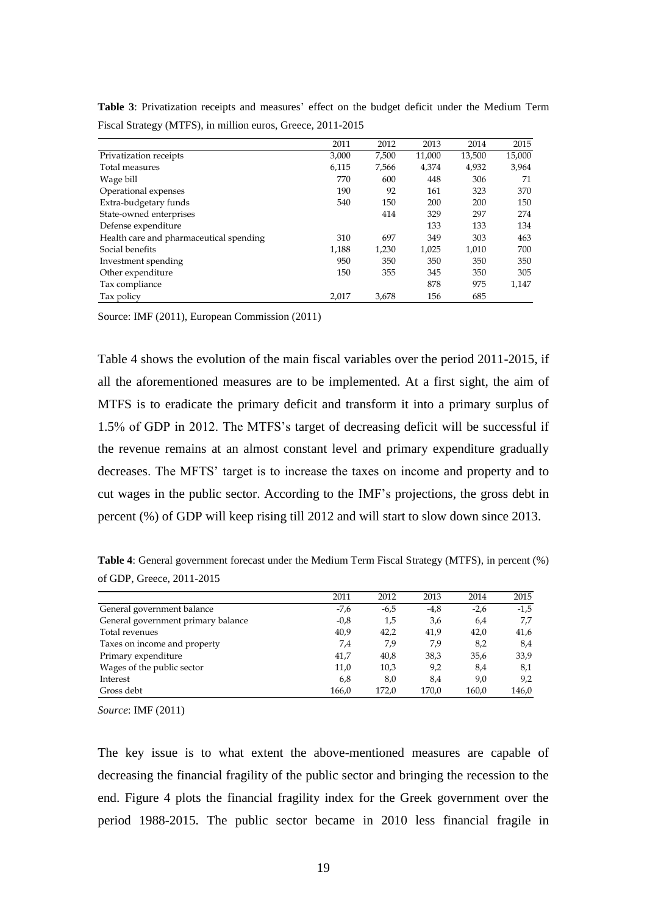|                                         | 2011  | 2012  | 2013   | 2014   | 2015   |
|-----------------------------------------|-------|-------|--------|--------|--------|
| Privatization receipts                  | 3,000 | 7,500 | 11,000 | 13,500 | 15,000 |
| Total measures                          | 6,115 | 7,566 | 4,374  | 4,932  | 3,964  |
| Wage bill                               | 770   | 600   | 448    | 306    | 71     |
| Operational expenses                    | 190   | 92    | 161    | 323    | 370    |
| Extra-budgetary funds                   | 540   | 150   | 200    | 200    | 150    |
| State-owned enterprises                 |       | 414   | 329    | 297    | 274    |
| Defense expenditure                     |       |       | 133    | 133    | 134    |
| Health care and pharmaceutical spending | 310   | 697   | 349    | 303    | 463    |
| Social benefits                         | 1,188 | 1,230 | 1,025  | 1,010  | 700    |
| Investment spending                     | 950   | 350   | 350    | 350    | 350    |
| Other expenditure                       | 150   | 355   | 345    | 350    | 305    |
| Tax compliance                          |       |       | 878    | 975    | 1,147  |
| Tax policy                              | 2.017 | 3.678 | 156    | 685    |        |

**Table 3**: Privatization receipts and measures' effect on the budget deficit under the Medium Term Fiscal Strategy (MTFS), in million euros, Greece, 2011-2015

Source: IMF (2011), European Commission (2011)

Table 4 shows the evolution of the main fiscal variables over the period 2011-2015, if all the aforementioned measures are to be implemented. At a first sight, the aim of MTFS is to eradicate the primary deficit and transform it into a primary surplus of 1.5% of GDP in 2012. The MTFS's target of decreasing deficit will be successful if the revenue remains at an almost constant level and primary expenditure gradually decreases. The MFTS' target is to increase the taxes on income and property and to cut wages in the public sector. According to the IMF's projections, the gross debt in percent (%) of GDP will keep rising till 2012 and will start to slow down since 2013.

**Table 4**: General government forecast under the Medium Term Fiscal Strategy (MTFS), in percent (%) of GDP, Greece, 2011-2015

|                                    | 2011   | 2012   | 2013   | 2014   | 2015   |
|------------------------------------|--------|--------|--------|--------|--------|
| General government balance         | -7,6   | $-6,5$ | $-4,8$ | $-2,6$ | $-1,5$ |
| General government primary balance | $-0.8$ | 1,5    | 3,6    | 6,4    | 7.7    |
| Total revenues                     | 40,9   | 42.2   | 41,9   | 42,0   | 41,6   |
| Taxes on income and property       | 7.4    | 7,9    | 7,9    | 8,2    | 8,4    |
| Primary expenditure                | 41,7   | 40,8   | 38,3   | 35,6   | 33,9   |
| Wages of the public sector         | 11,0   | 10,3   | 9,2    | 8,4    | 8,1    |
| Interest                           | 6,8    | 8,0    | 8,4    | 9,0    | 9,2    |
| Gross debt                         | 166,0  | 172.0  | 170.0  | 160.0  | 146,0  |

*Source*: IMF (2011)

The key issue is to what extent the above-mentioned measures are capable of decreasing the financial fragility of the public sector and bringing the recession to the end. Figure 4 plots the financial fragility index for the Greek government over the period 1988-2015. The public sector became in 2010 less financial fragile in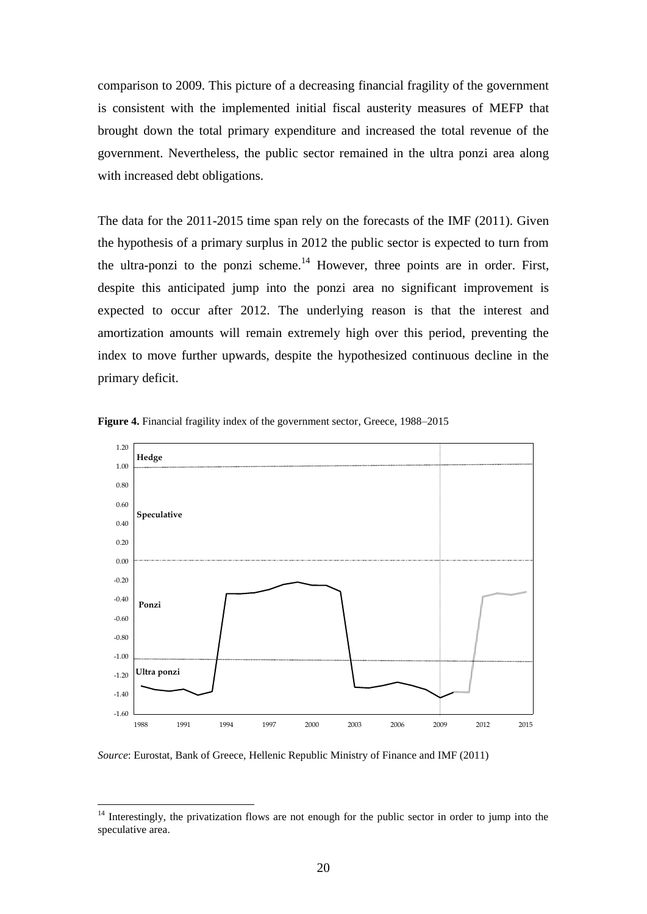comparison to 2009. This picture of a decreasing financial fragility of the government is consistent with the implemented initial fiscal austerity measures of MEFP that brought down the total primary expenditure and increased the total revenue of the government. Nevertheless, the public sector remained in the ultra ponzi area along with increased debt obligations.

The data for the 2011-2015 time span rely on the forecasts of the IMF (2011). Given the hypothesis of a primary surplus in 2012 the public sector is expected to turn from the ultra-ponzi to the ponzi scheme.<sup>14</sup> However, three points are in order. First, despite this anticipated jump into the ponzi area no significant improvement is expected to occur after 2012. The underlying reason is that the interest and amortization amounts will remain extremely high over this period, preventing the index to move further upwards, despite the hypothesized continuous decline in the primary deficit.



**Figure 4.** Financial fragility index of the government sector, Greece, 1988–2015

*Source*: Eurostat, Bank of Greece, Hellenic Republic Ministry of Finance and IMF (2011)

<u>.</u>

<sup>&</sup>lt;sup>14</sup> Interestingly, the privatization flows are not enough for the public sector in order to jump into the speculative area.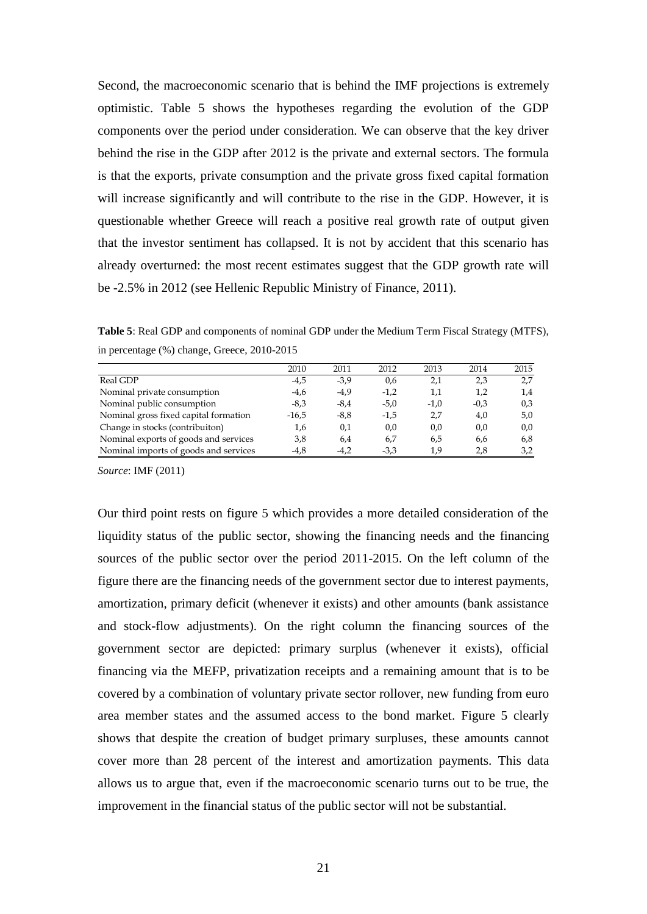Second, the macroeconomic scenario that is behind the IMF projections is extremely optimistic. Table 5 shows the hypotheses regarding the evolution of the GDP components over the period under consideration. We can observe that the key driver behind the rise in the GDP after 2012 is the private and external sectors. The formula is that the exports, private consumption and the private gross fixed capital formation will increase significantly and will contribute to the rise in the GDP. However, it is questionable whether Greece will reach a positive real growth rate of output given that the investor sentiment has collapsed. It is not by accident that this scenario has already overturned: the most recent estimates suggest that the GDP growth rate will be -2.5% in 2012 (see Hellenic Republic Ministry of Finance, 2011).

**Table 5**: Real GDP and components of nominal GDP under the Medium Term Fiscal Strategy (MTFS), in percentage (%) change, Greece, 2010-2015

|                                       | 2010    | 2011   | 2012   | 2013   | 2014   | 2015 |
|---------------------------------------|---------|--------|--------|--------|--------|------|
| Real GDP                              | $-4.5$  | $-3.9$ | 0,6    | 2,1    | 2,3    | 2,7  |
| Nominal private consumption           | $-4.6$  | $-4,9$ | $-1,2$ | 1,1    | 1.2    | 1,4  |
| Nominal public consumption            | $-8.3$  | $-8.4$ | $-5.0$ | $-1.0$ | $-0.3$ | 0.3  |
| Nominal gross fixed capital formation | $-16.5$ | $-8.8$ | $-1,5$ | 2.7    | 4,0    | 5,0  |
| Change in stocks (contribuiton)       | 1,6     | 0,1    | 0,0    | 0,0    | 0,0    | 0,0  |
| Nominal exports of goods and services | 3,8     | 6.4    | 6,7    | 6.5    | 6.6    | 6,8  |
| Nominal imports of goods and services | $-4.8$  | $-4.2$ | $-3.3$ | 1.9    | 2.8    | 3,2  |

*Source*: IMF (2011)

Our third point rests on figure 5 which provides a more detailed consideration of the liquidity status of the public sector, showing the financing needs and the financing sources of the public sector over the period 2011-2015. On the left column of the figure there are the financing needs of the government sector due to interest payments, amortization, primary deficit (whenever it exists) and other amounts (bank assistance and stock-flow adjustments). On the right column the financing sources of the government sector are depicted: primary surplus (whenever it exists), official financing via the MEFP, privatization receipts and a remaining amount that is to be covered by a combination of voluntary private sector rollover, new funding from euro area member states and the assumed access to the bond market. Figure 5 clearly shows that despite the creation of budget primary surpluses, these amounts cannot cover more than 28 percent of the interest and amortization payments. This data allows us to argue that, even if the macroeconomic scenario turns out to be true, the improvement in the financial status of the public sector will not be substantial.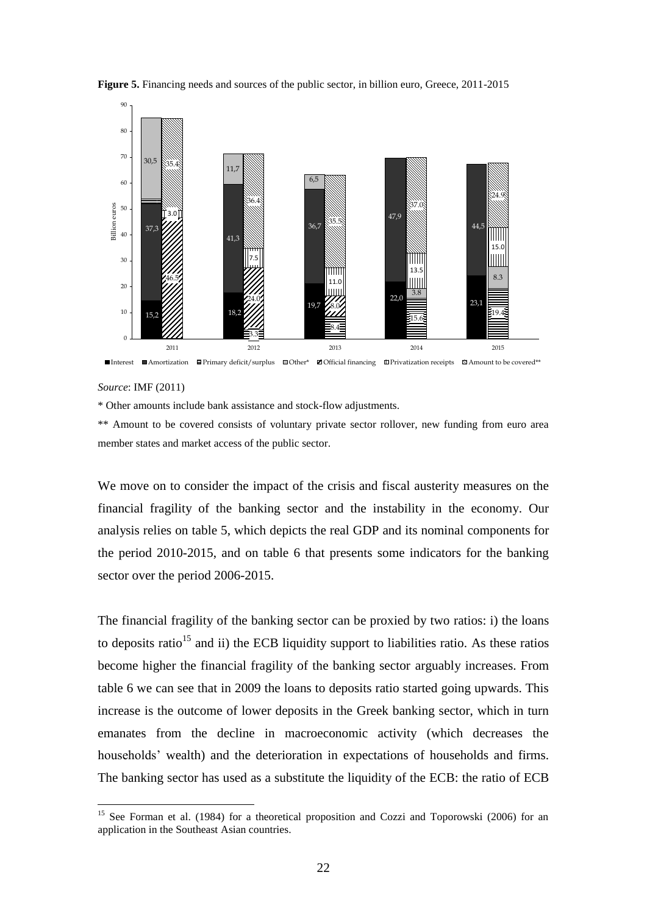

**Figure 5.** Financing needs and sources of the public sector, in billion euro, Greece, 2011-2015

*Source*: IMF (2011)

<u>.</u>

\* Other amounts include bank assistance and stock-flow adjustments.

\*\* Amount to be covered consists of voluntary private sector rollover, new funding from euro area member states and market access of the public sector.

We move on to consider the impact of the crisis and fiscal austerity measures on the financial fragility of the banking sector and the instability in the economy. Our analysis relies on table 5, which depicts the real GDP and its nominal components for the period 2010-2015, and on table 6 that presents some indicators for the banking sector over the period 2006-2015.

The financial fragility of the banking sector can be proxied by two ratios: i) the loans to deposits ratio<sup>15</sup> and ii) the ECB liquidity support to liabilities ratio. As these ratios become higher the financial fragility of the banking sector arguably increases. From table 6 we can see that in 2009 the loans to deposits ratio started going upwards. This increase is the outcome of lower deposits in the Greek banking sector, which in turn emanates from the decline in macroeconomic activity (which decreases the households' wealth) and the deterioration in expectations of households and firms. The banking sector has used as a substitute the liquidity of the ECB: the ratio of ECB

<sup>&</sup>lt;sup>15</sup> See Forman et al. (1984) for a theoretical proposition and Cozzi and Toporowski (2006) for an application in the Southeast Asian countries.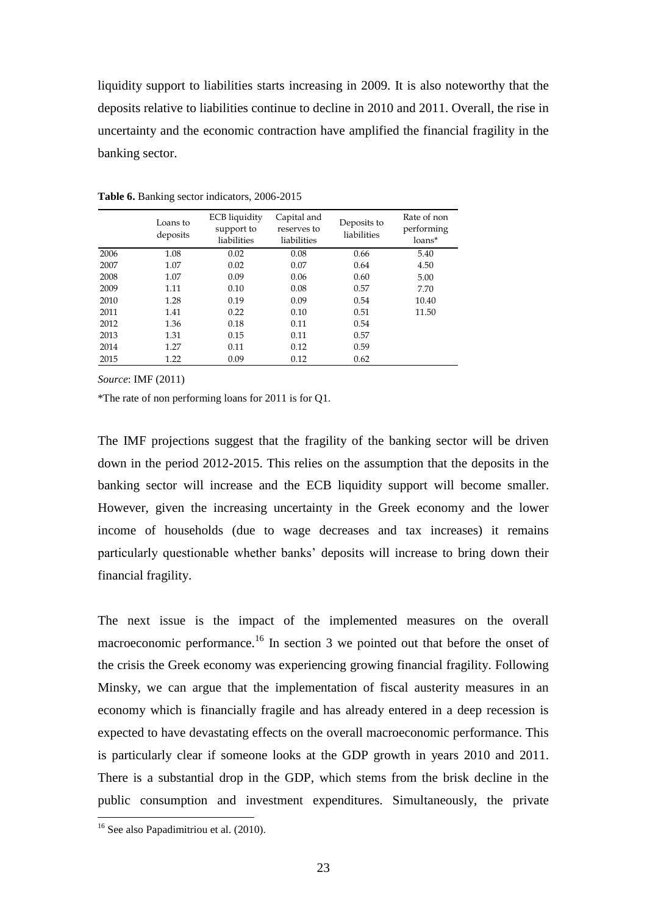liquidity support to liabilities starts increasing in 2009. It is also noteworthy that the deposits relative to liabilities continue to decline in 2010 and 2011. Overall, the rise in uncertainty and the economic contraction have amplified the financial fragility in the banking sector.

|      | Loans to<br>deposits | ECB liquidity<br>support to<br>liabilities | Capital and<br>reserves to<br>liabilities | Deposits to<br>liabilities | Rate of non<br>performing<br>loans* |
|------|----------------------|--------------------------------------------|-------------------------------------------|----------------------------|-------------------------------------|
| 2006 | 1.08                 | 0.02                                       | 0.08                                      | 0.66                       | 5.40                                |
| 2007 | 1.07                 | 0.02                                       | 0.07                                      | 0.64                       | 4.50                                |
| 2008 | 1.07                 | 0.09                                       | 0.06                                      | 0.60                       | 5.00                                |
| 2009 | 1.11                 | 0.10                                       | 0.08                                      | 0.57                       | 7.70                                |
| 2010 | 1.28                 | 0.19                                       | 0.09                                      | 0.54                       | 10.40                               |
| 2011 | 1.41                 | 0.22                                       | 0.10                                      | 0.51                       | 11.50                               |
| 2012 | 1.36                 | 0.18                                       | 0.11                                      | 0.54                       |                                     |
| 2013 | 1.31                 | 0.15                                       | 0.11                                      | 0.57                       |                                     |
| 2014 | 1.27                 | 0.11                                       | 0.12                                      | 0.59                       |                                     |
| 2015 | 1.22                 | 0.09                                       | 0.12                                      | 0.62                       |                                     |

**Table 6.** Banking sector indicators, 2006-2015

*Source*: IMF (2011)

\*The rate of non performing loans for 2011 is for Q1.

The IMF projections suggest that the fragility of the banking sector will be driven down in the period 2012-2015. This relies on the assumption that the deposits in the banking sector will increase and the ECB liquidity support will become smaller. However, given the increasing uncertainty in the Greek economy and the lower income of households (due to wage decreases and tax increases) it remains particularly questionable whether banks' deposits will increase to bring down their financial fragility.

The next issue is the impact of the implemented measures on the overall macroeconomic performance.<sup>16</sup> In section 3 we pointed out that before the onset of the crisis the Greek economy was experiencing growing financial fragility. Following Minsky, we can argue that the implementation of fiscal austerity measures in an economy which is financially fragile and has already entered in a deep recession is expected to have devastating effects on the overall macroeconomic performance. This is particularly clear if someone looks at the GDP growth in years 2010 and 2011. There is a substantial drop in the GDP, which stems from the brisk decline in the public consumption and investment expenditures. Simultaneously, the private

1

<sup>&</sup>lt;sup>16</sup> See also Papadimitriou et al. (2010).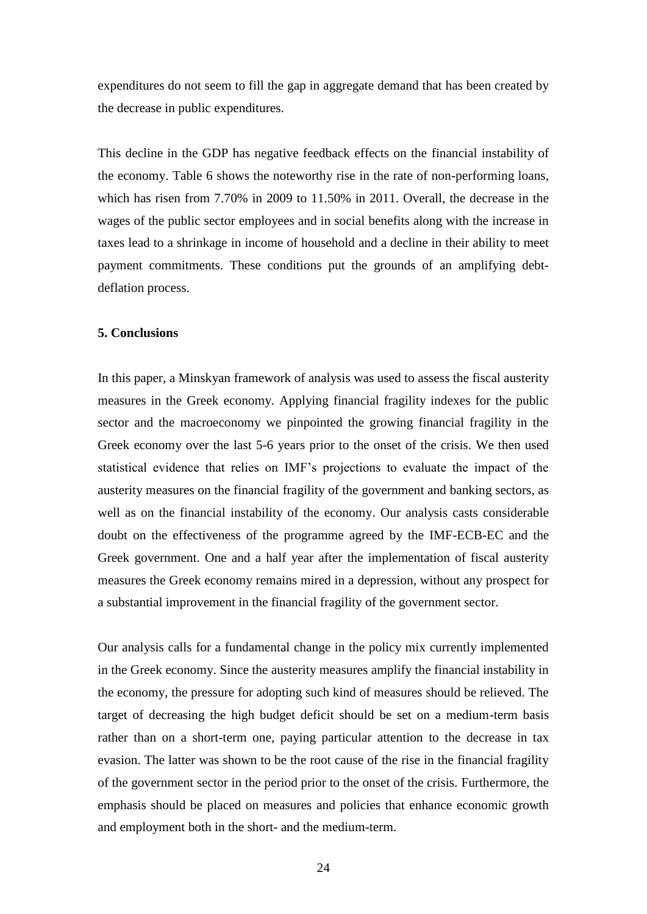expenditures do not seem to fill the gap in aggregate demand that has been created by the decrease in public expenditures.

This decline in the GDP has negative feedback effects on the financial instability of the economy. Table 6 shows the noteworthy rise in the rate of non-performing loans, which has risen from 7.70% in 2009 to 11.50% in 2011. Overall, the decrease in the wages of the public sector employees and in social benefits along with the increase in taxes lead to a shrinkage in income of household and a decline in their ability to meet payment commitments. These conditions put the grounds of an amplifying debtdeflation process.

#### **5. Conclusions**

In this paper, a Minskyan framework of analysis was used to assess the fiscal austerity measures in the Greek economy. Applying financial fragility indexes for the public sector and the macroeconomy we pinpointed the growing financial fragility in the Greek economy over the last 5-6 years prior to the onset of the crisis. We then used statistical evidence that relies on IMF's projections to evaluate the impact of the austerity measures on the financial fragility of the government and banking sectors, as well as on the financial instability of the economy. Our analysis casts considerable doubt on the effectiveness of the programme agreed by the IMF-ECB-EC and the Greek government. One and a half year after the implementation of fiscal austerity measures the Greek economy remains mired in a depression, without any prospect for a substantial improvement in the financial fragility of the government sector.

Our analysis calls for a fundamental change in the policy mix currently implemented in the Greek economy. Since the austerity measures amplify the financial instability in the economy, the pressure for adopting such kind of measures should be relieved. The target of decreasing the high budget deficit should be set on a medium-term basis rather than on a short-term one, paying particular attention to the decrease in tax evasion. The latter was shown to be the root cause of the rise in the financial fragility of the government sector in the period prior to the onset of the crisis. Furthermore, the emphasis should be placed on measures and policies that enhance economic growth and employment both in the short- and the medium-term.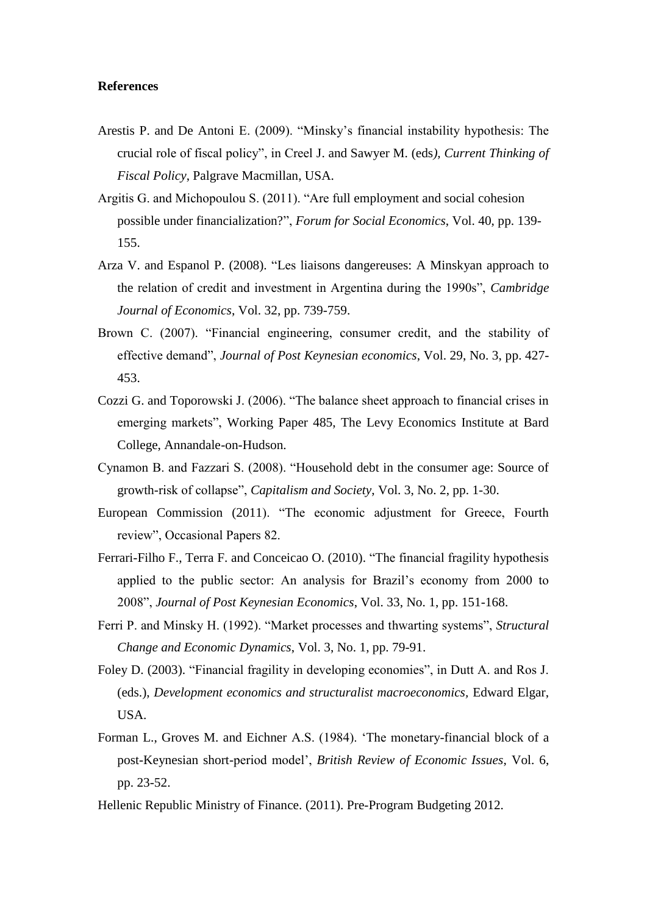#### **References**

- Arestis P. and De Antoni E. (2009). "Minsky's financial instability hypothesis: The crucial role of fiscal policy", in Creel J. and Sawyer M. (eds*), Current Thinking of Fiscal Policy*, Palgrave Macmillan, USA.
- Argitis G. and Michopoulou S. (2011). "Are full employment and social cohesion possible under financialization?", *Forum for Social Economics*, Vol. 40, pp. 139- 155.
- Arza V. and Espanol P. (2008). "Les liaisons dangereuses: A Minskyan approach to the relation of credit and investment in Argentina during the 1990s", *Cambridge Journal of Economics*, Vol. 32, pp. 739-759.
- Brown C. (2007). "Financial engineering, consumer credit, and the stability of effective demand", *Journal of Post Keynesian economics*, Vol. 29, No. 3, pp. 427- 453.
- Cozzi G. and Toporowski J. (2006). "The balance sheet approach to financial crises in emerging markets", Working Paper 485, The Levy Economics Institute at Bard College, Annandale-on-Hudson.
- Cynamon B. and Fazzari S. (2008). "Household debt in the consumer age: Source of growth-risk of collapse", *Capitalism and Society*, Vol. 3, No. 2, pp. 1-30.
- European Commission (2011). "The economic adjustment for Greece, Fourth review", Occasional Papers 82.
- Ferrari-Filho F., Terra F. and Conceicao O. (2010). "The financial fragility hypothesis applied to the public sector: An analysis for Brazil's economy from 2000 to 2008", *Journal of Post Keynesian Economics*, Vol. 33, No. 1, pp. 151-168.
- Ferri P. and Minsky H. (1992). "Market processes and thwarting systems", *Structural Change and Economic Dynamics*, Vol. 3, No. 1, pp. 79-91.
- Foley D. (2003). "Financial fragility in developing economies", in Dutt A. and Ros J. (eds.), *Development economics and structuralist macroeconomics,* Edward Elgar, USA.
- Forman L., Groves M. and Eichner A.S. (1984). 'The monetary-financial block of a post-Keynesian short-period model', *British Review of Economic Issues*, Vol. 6, pp. 23-52.
- Hellenic Republic Ministry of Finance. (2011). Pre-Program Budgeting 2012.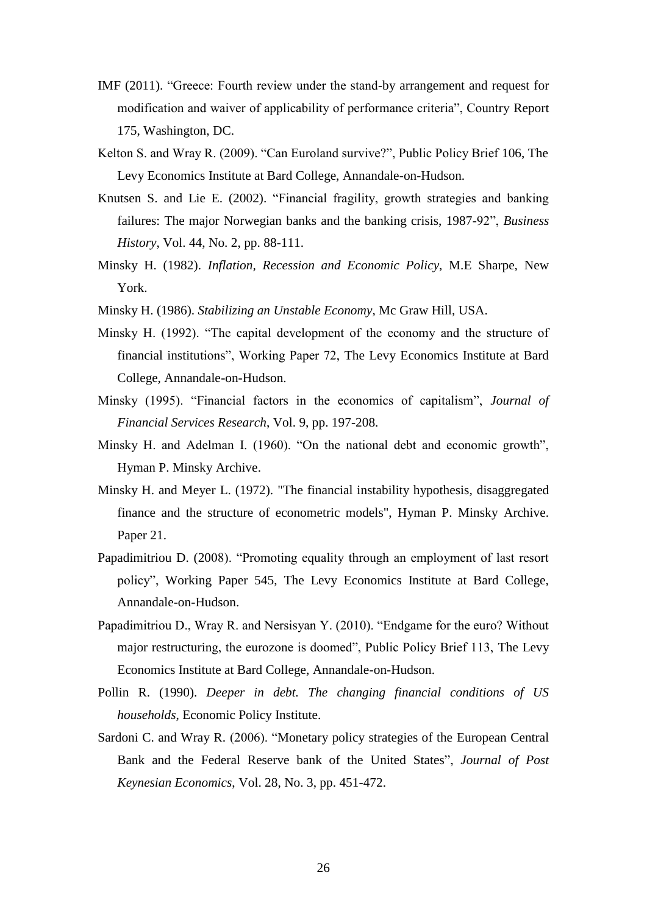- IMF (2011). "Greece: Fourth review under the stand-by arrangement and request for modification and waiver of applicability of performance criteria", Country Report 175, Washington, DC.
- Kelton S. and Wray R. (2009). "Can Euroland survive?", Public Policy Brief 106, The Levy Economics Institute at Bard College, Annandale-on-Hudson.
- Knutsen S. and Lie E. (2002). "Financial fragility, growth strategies and banking failures: The major Norwegian banks and the banking crisis, 1987-92", *Business History*, Vol. 44, No. 2, pp. 88-111.
- Minsky H. (1982). *Inflation, Recession and Economic Policy*, M.E Sharpe, New York.
- Minsky H. (1986). *Stabilizing an Unstable Economy*, Mc Graw Hill, USA.
- Minsky H. (1992). "The capital development of the economy and the structure of financial institutions", Working Paper 72, The Levy Economics Institute at Bard College, Annandale-on-Hudson.
- Minsky (1995). "Financial factors in the economics of capitalism", *Journal of Financial Services Research*, Vol. 9, pp. 197-208.
- Minsky H. and Adelman I. (1960). "On the national debt and economic growth", Hyman P. Minsky Archive.
- Minsky H. and Meyer L. (1972). "The financial instability hypothesis, disaggregated finance and the structure of econometric models", Hyman P. Minsky Archive. Paper 21.
- Papadimitriou D. (2008). "Promoting equality through an employment of last resort policy", Working Paper 545, The Levy Economics Institute at Bard College, Annandale-on-Hudson.
- Papadimitriou D., Wray R. and Nersisyan Y. (2010). "Endgame for the euro? Without major restructuring, the eurozone is doomed", Public Policy Brief 113, The Levy Economics Institute at Bard College, Annandale-on-Hudson.
- Pollin R. (1990). *Deeper in debt. The changing financial conditions of US households*, Economic Policy Institute.
- Sardoni C. and Wray R. (2006). "Monetary policy strategies of the European Central Bank and the Federal Reserve bank of the United States", *Journal of Post Keynesian Economics*, Vol. 28, No. 3, pp. 451-472.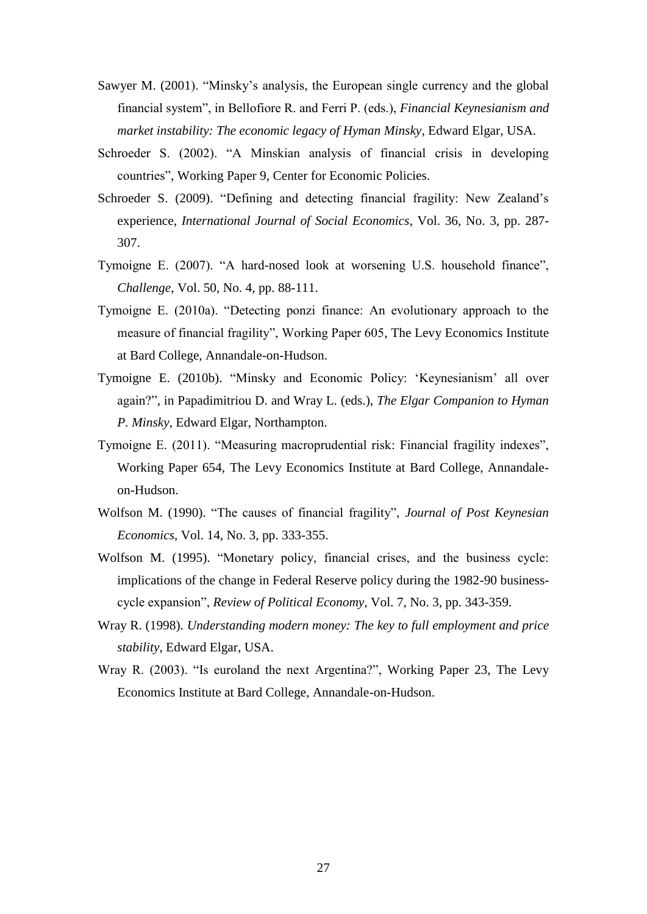- Sawyer M. (2001). "Minsky's analysis, the European single currency and the global financial system", in Bellofiore R. and Ferri P. (eds.), *Financial Keynesianism and market instability: The economic legacy of Hyman Minsky*, Edward Elgar, USA.
- Schroeder S. (2002). "A Minskian analysis of financial crisis in developing countries", Working Paper 9, Center for Economic Policies.
- Schroeder S. (2009). "Defining and detecting financial fragility: New Zealand's experience, *International Journal of Social Economics*, Vol. 36, No. 3, pp. 287- 307.
- Tymoigne E. (2007). "A hard-nosed look at worsening U.S. household finance", *Challenge*, Vol. 50, No. 4, pp. 88-111.
- Tymoigne E. (2010a). "Detecting ponzi finance: An evolutionary approach to the measure of financial fragility", Working Paper 605, The Levy Economics Institute at Bard College, Annandale-on-Hudson.
- Tymoigne E. (2010b). "Minsky and Economic Policy: 'Keynesianism' all over again?", in Papadimitriou D. and Wray L. (eds.), *The Elgar Companion to Hyman P. Minsky*, Edward Elgar, Northampton.
- Tymoigne E. (2011). "Measuring macroprudential risk: Financial fragility indexes", Working Paper 654, The Levy Economics Institute at Bard College, Annandaleon-Hudson.
- Wolfson M. (1990). "The causes of financial fragility", *Journal of Post Keynesian Economics*, Vol. 14, No. 3, pp. 333-355.
- Wolfson M. (1995). "Monetary policy, financial crises, and the business cycle: implications of the change in Federal Reserve policy during the 1982-90 businesscycle expansion", *Review of Political Economy*, Vol. 7, No. 3, pp. 343-359.
- Wray R. (1998). *Understanding modern money: The key to full employment and price stability*, Edward Elgar, USA.
- Wray R. (2003). "Is euroland the next Argentina?", Working Paper 23, The Levy Economics Institute at Bard College, Annandale-on-Hudson.